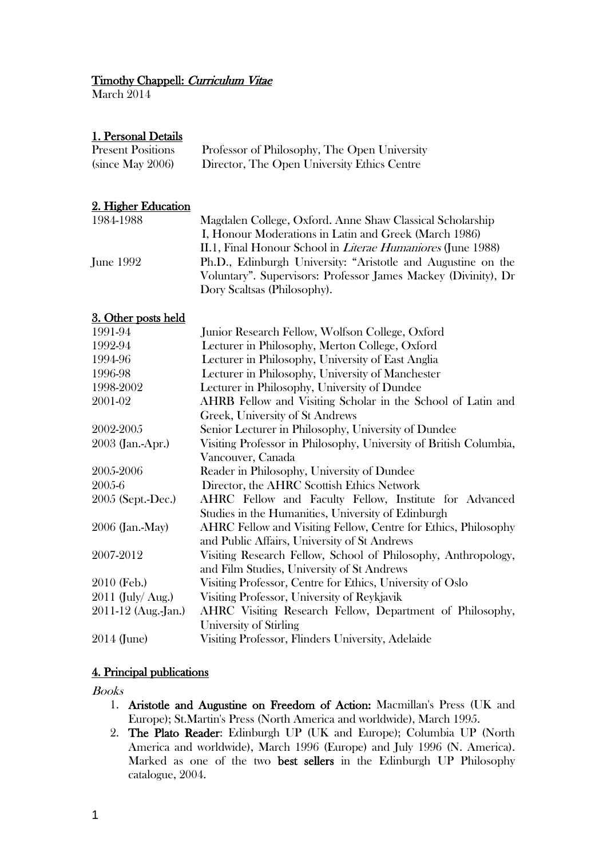# Timothy Chappell: Curriculum Vitae

March 2014

# 1. Personal Details

| <b>Present Positions</b> | Professor of Philosophy, The Open University |
|--------------------------|----------------------------------------------|
| (since May 2006)         | Director, The Open University Ethics Centre  |

# 2. Higher Education

| 1984-1988 | Magdalen College, Oxford. Anne Shaw Classical Scholarship          |
|-----------|--------------------------------------------------------------------|
|           | I, Honour Moderations in Latin and Greek (March 1986)              |
|           | II.1, Final Honour School in <i>Literae Humaniores</i> (June 1988) |
| June 1992 | Ph.D., Edinburgh University: "Aristotle and Augustine on the       |
|           | Voluntary". Supervisors: Professor James Mackey (Divinity), Dr     |
|           | Dory Scaltsas (Philosophy).                                        |

# 3. Other posts held

| 1991-94                                                                               | Junior Research Fellow, Wolfson College, Oxford                       |  |
|---------------------------------------------------------------------------------------|-----------------------------------------------------------------------|--|
| 1992-94                                                                               | Lecturer in Philosophy, Merton College, Oxford                        |  |
| 1994-96                                                                               | Lecturer in Philosophy, University of East Anglia                     |  |
| 1996-98                                                                               | Lecturer in Philosophy, University of Manchester                      |  |
| 1998-2002                                                                             | Lecturer in Philosophy, University of Dundee                          |  |
| 2001-02                                                                               | AHRB Fellow and Visiting Scholar in the School of Latin and           |  |
|                                                                                       | Greek, University of St Andrews                                       |  |
| 2002-2005                                                                             | Senior Lecturer in Philosophy, University of Dundee                   |  |
| 2003 (Jan.-Apr.)<br>Visiting Professor in Philosophy, University of British Columbia, |                                                                       |  |
|                                                                                       | Vancouver, Canada                                                     |  |
| 2005-2006                                                                             | Reader in Philosophy, University of Dundee                            |  |
| 2005-6                                                                                | Director, the AHRC Scottish Ethics Network                            |  |
| 2005 (Sept.-Dec.)                                                                     | AHRC Fellow and Faculty Fellow, Institute for Advanced                |  |
|                                                                                       | Studies in the Humanities, University of Edinburgh                    |  |
| 2006 (Jan.-May)                                                                       | <b>AHRC</b> Fellow and Visiting Fellow, Centre for Ethics, Philosophy |  |
|                                                                                       | and Public Affairs, University of St Andrews                          |  |
| 2007-2012                                                                             | Visiting Research Fellow, School of Philosophy, Anthropology,         |  |
|                                                                                       | and Film Studies, University of St Andrews                            |  |
| 2010 (Feb.)                                                                           | Visiting Professor, Centre for Ethics, University of Oslo             |  |
| $2011$ (July/ Aug.)                                                                   | Visiting Professor, University of Reykjavik                           |  |
| 2011-12 (Aug.-Jan.)                                                                   | AHRC Visiting Research Fellow, Department of Philosophy,              |  |
|                                                                                       | University of Stirling                                                |  |
| 2014 (June)                                                                           | Visiting Professor, Flinders University, Adelaide                     |  |

# 4. Principal publications

Books

- 1. Aristotle and Augustine on Freedom of Action: Macmillan's Press (UK and Europe); St.Martin's Press (North America and worldwide), March 1995.
- 2. The Plato Reader: Edinburgh UP (UK and Europe); Columbia UP (North America and worldwide), March 1996 (Europe) and July 1996 (N. America). Marked as one of the two best sellers in the Edinburgh UP Philosophy catalogue, 2004.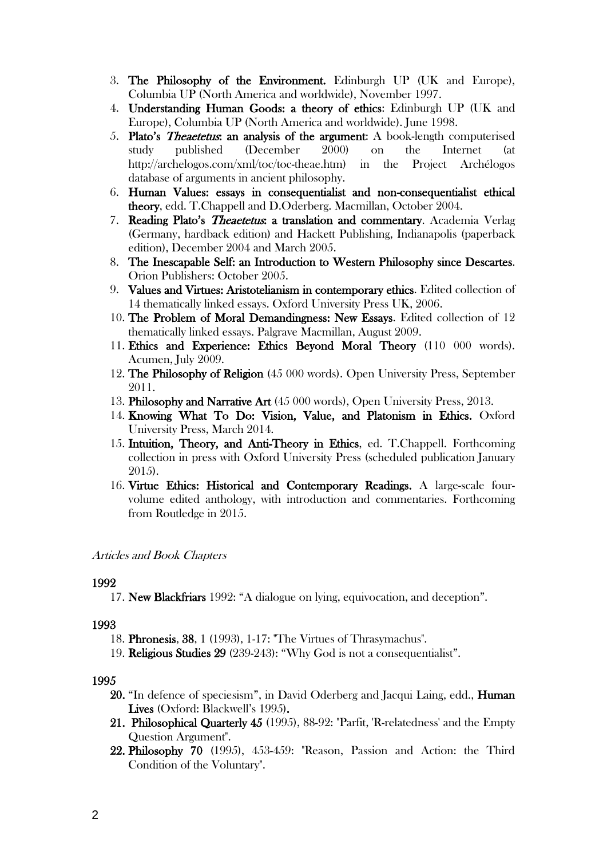- 3. The Philosophy of the Environment. Edinburgh UP (UK and Europe), Columbia UP (North America and worldwide), November 1997.
- 4. Understanding Human Goods: a theory of ethics: Edinburgh UP (UK and Europe), Columbia UP (North America and worldwide). June 1998.
- 5. Plato's Theaetetus: an analysis of the argument: A book-length computerised study published (December 2000) on the Internet (at http://archelogos.com/xml/toc/toc-theae.htm) in the Project Archélogos database of arguments in ancient philosophy.
- 6. Human Values: essays in consequentialist and non-consequentialist ethical theory, edd. T.Chappell and D.Oderberg. Macmillan, October 2004.
- 7. Reading Plato's *Theaetetus*: a translation and commentary. Academia Verlag (Germany, hardback edition) and Hackett Publishing, Indianapolis (paperback edition), December 2004 and March 2005.
- 8. The Inescapable Self: an Introduction to Western Philosophy since Descartes. Orion Publishers: October 2005.
- 9. Values and Virtues: Aristotelianism in contemporary ethics. Edited collection of 14 thematically linked essays. Oxford University Press UK, 2006.
- 10. The Problem of Moral Demandingness: New Essays. Edited collection of 12 thematically linked essays. Palgrave Macmillan, August 2009.
- 11. Ethics and Experience: Ethics Beyond Moral Theory (110 000 words). Acumen, July 2009.
- 12. The Philosophy of Religion (45 000 words). Open University Press, September 2011.
- 13. Philosophy and Narrative Art (45 000 words), Open University Press, 2013.
- 14. Knowing What To Do: Vision, Value, and Platonism in Ethics. Oxford University Press, March 2014.
- 15. Intuition, Theory, and Anti-Theory in Ethics, ed. T.Chappell. Forthcoming collection in press with Oxford University Press (scheduled publication January 2015).
- 16. Virtue Ethics: Historical and Contemporary Readings. A large-scale fourvolume edited anthology, with introduction and commentaries. Forthcoming from Routledge in 2015.

# Articles and Book Chapters

### 1992

17. New Blackfriars 1992: "A dialogue on lying, equivocation, and deception".

# 1993

- 18. Phronesis, 38, 1 (1993), 1-17: "The Virtues of Thrasymachus".
- 19. Religious Studies 29 (239-243): "Why God is not a consequentialist".

- 20. "In defence of speciesism", in David Oderberg and Jacqui Laing, edd., Human Lives (Oxford: Blackwell's 1995).
- 21. Philosophical Quarterly 45 (1995), 88-92: "Parfit, 'R-relatedness' and the Empty Question Argument".
- 22. Philosophy 70 (1995), 453-459: "Reason, Passion and Action: the Third Condition of the Voluntary".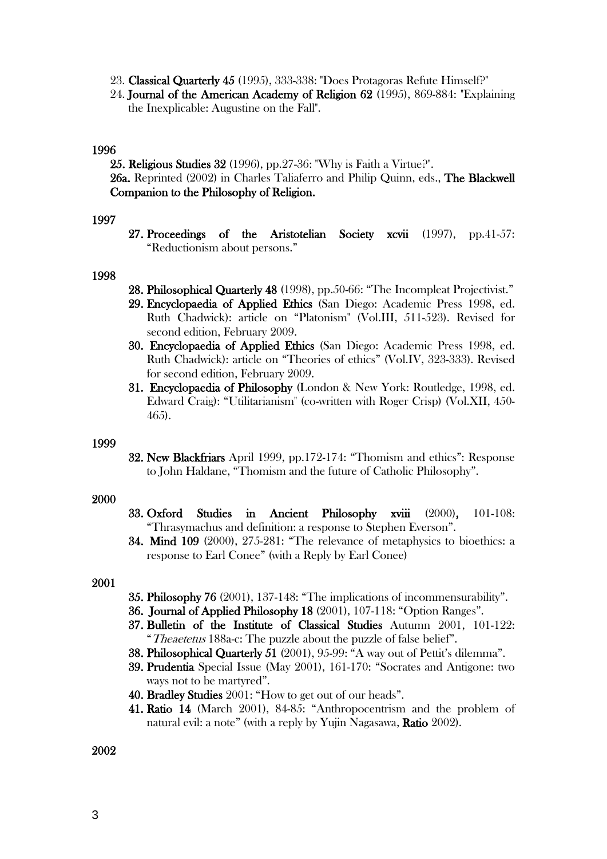- 23. Classical Quarterly 45 (1995), 333-338: "Does Protagoras Refute Himself?"
- 24. Journal of the American Academy of Religion 62 (1995), 869-884: "Explaining the Inexplicable: Augustine on the Fall".

## 1996

25. Religious Studies 32 (1996), pp.27-36: "Why is Faith a Virtue?". 26a. Reprinted (2002) in Charles Taliaferro and Philip Quinn, eds., The Blackwell Companion to the Philosophy of Religion.

### 1997

27. Proceedings of the Aristotelian Society xcvii (1997), pp.41-57: "Reductionism about persons."

### 1998

- 28. Philosophical Quarterly 48 (1998), pp.50-66: "The Incompleat Projectivist." 29. Encyclopaedia of Applied Ethics (San Diego: Academic Press 1998, ed. Ruth Chadwick): article on "Platonism" (Vol.III, 511-523). Revised for second edition, February 2009.
- 30. Encyclopaedia of Applied Ethics (San Diego: Academic Press 1998, ed. Ruth Chadwick): article on "Theories of ethics" (Vol.IV, 323-333). Revised for second edition, February 2009.
- 31. Encyclopaedia of Philosophy (London & New York: Routledge, 1998, ed. Edward Craig): "Utilitarianism" (co-written with Roger Crisp) (Vol.XII, 450- 465).

### 1999

32. New Blackfriars April 1999, pp.172-174: "Thomism and ethics": Response to John Haldane, "Thomism and the future of Catholic Philosophy".

### 2000

- 33. Oxford Studies in Ancient Philosophy xviii (2000), 101-108: "Thrasymachus and definition: a response to Stephen Everson".
- 34. Mind 109 (2000), 275-281: "The relevance of metaphysics to bioethics: a response to Earl Conee" (with a Reply by Earl Conee)

### 2001

- 35. Philosophy 76 (2001), 137-148: "The implications of incommensurability".
- 36. Journal of Applied Philosophy 18 (2001), 107-118: "Option Ranges".
- 37. Bulletin of the Institute of Classical Studies Autumn 2001, 101-122: "Theaetetus 188a-c: The puzzle about the puzzle of false belief".
- 38. Philosophical Quarterly 51 (2001), 95-99: "A way out of Pettit's dilemma".
- 39. Prudentia Special Issue (May 2001), 161-170: "Socrates and Antigone: two ways not to be martyred".
- 40. Bradley Studies 2001: "How to get out of our heads".
- 41. Ratio 14 (March 2001), 84-85: "Anthropocentrism and the problem of natural evil: a note" (with a reply by Yujin Nagasawa, Ratio 2002).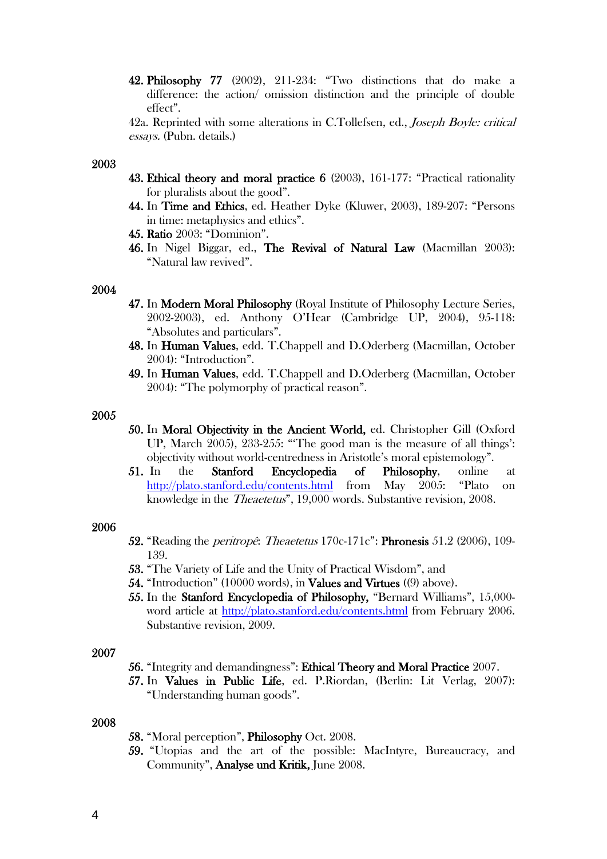42. Philosophy 77 (2002), 211-234: "Two distinctions that do make a difference: the action/ omission distinction and the principle of double effect".

42a. Reprinted with some alterations in C.Tollefsen, ed., *Joseph Boyle: critical* essays. (Pubn. details.)

### 2003

- 43. Ethical theory and moral practice 6 (2003), 161-177: "Practical rationality for pluralists about the good".
- 44. In Time and Ethics, ed. Heather Dyke (Kluwer, 2003), 189-207: "Persons in time: metaphysics and ethics".
- 45. Ratio 2003: "Dominion".
- 46. In Nigel Biggar, ed., The Revival of Natural Law (Macmillan 2003): "Natural law revived".

#### 2004

- 47. In Modern Moral Philosophy (Royal Institute of Philosophy Lecture Series, 2002-2003), ed. Anthony O'Hear (Cambridge UP, 2004), 95-118: "Absolutes and particulars".
- 48. In Human Values, edd. T.Chappell and D.Oderberg (Macmillan, October 2004): "Introduction".
- 49. In Human Values, edd. T.Chappell and D.Oderberg (Macmillan, October 2004): "The polymorphy of practical reason".

#### 2005

- 50. In Moral Objectivity in the Ancient World, ed. Christopher Gill (Oxford UP, March 2005), 233-255: "'The good man is the measure of all things': objectivity without world-centredness in Aristotle's moral epistemology".
- 51. In the Stanford Encyclopedia of Philosophy, online at <http://plato.stanford.edu/contents.html> from May 2005: "Plato on knowledge in the Theaetetus", 19,000 words. Substantive revision, 2008.

#### 2006

- 52. "Reading the peritropê: Theaetetus 170c-171c": Phronesis 51.2 (2006), 109- 139.
- 53. "The Variety of Life and the Unity of Practical Wisdom", and
- 54. "Introduction" (10000 words), in Values and Virtues ((9) above).
- 55. In the Stanford Encyclopedia of Philosophy, "Bernard Williams", 15,000 word article at<http://plato.stanford.edu/contents.html> from February 2006. Substantive revision, 2009.

### 2007

- 56. "Integrity and demandingness": Ethical Theory and Moral Practice 2007.
- 57. In Values in Public Life, ed. P.Riordan, (Berlin: Lit Verlag, 2007): "Understanding human goods".

- 58. "Moral perception", Philosophy Oct. 2008.
- 59. "Utopias and the art of the possible: MacIntyre, Bureaucracy, and Community", Analyse und Kritik, June 2008.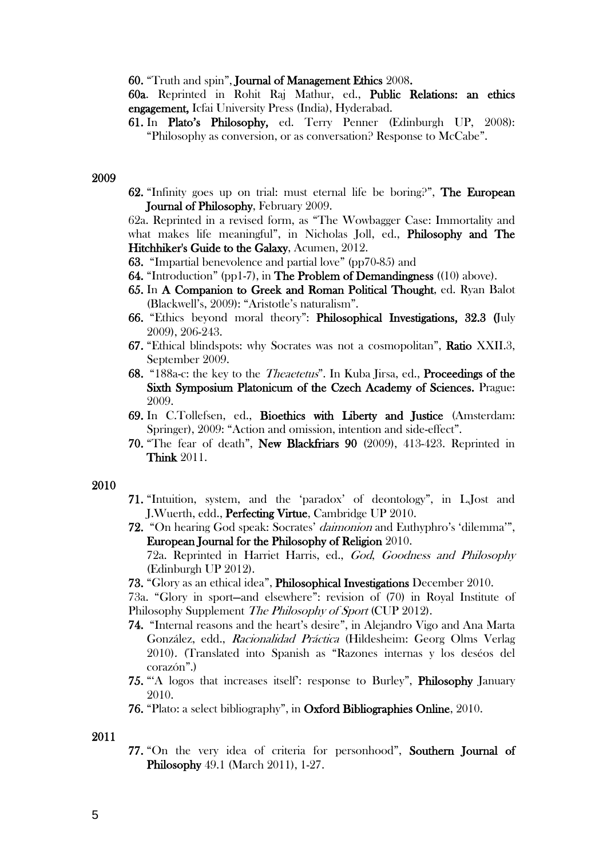60. "Truth and spin", Journal of Management Ethics 2008.

60a. Reprinted in Rohit Raj Mathur, ed., Public Relations: an ethics engagement, Icfai University Press (India), Hyderabad.

61. In Plato's Philosophy, ed. Terry Penner (Edinburgh UP, 2008): "Philosophy as conversion, or as conversation? Response to McCabe".

#### 2009

62. "Infinity goes up on trial: must eternal life be boring?", The European Journal of Philosophy, February 2009.

62a. Reprinted in a revised form, as "The Wowbagger Case: Immortality and what makes life meaningful", in Nicholas Joll, ed., Philosophy and The Hitchhiker's Guide to the Galaxy, Acumen, 2012.

- 63. "Impartial benevolence and partial love" (pp70-85) and
- 64. "Introduction" (pp1-7), in The Problem of Demandingness ((10) above).
- 65. In A Companion to Greek and Roman Political Thought, ed. Ryan Balot (Blackwell's, 2009): "Aristotle's naturalism".
- 66. "Ethics beyond moral theory": Philosophical Investigations, 32.3 (July 2009), 206-243.
- 67. "Ethical blindspots: why Socrates was not a cosmopolitan", Ratio XXII.3, September 2009.
- 68. "188a-c: the key to the Theaetetus". In Kuba Jirsa, ed., Proceedings of the Sixth Symposium Platonicum of the Czech Academy of Sciences. Prague: 2009.
- 69. In C.Tollefsen, ed., Bioethics with Liberty and Justice (Amsterdam: Springer), 2009: "Action and omission, intention and side-effect".
- 70. "The fear of death", New Blackfriars 90 (2009), 413-423. Reprinted in Think 2011.

#### 2010

- 71. "Intuition, system, and the 'paradox' of deontology", in L.Jost and J.Wuerth, edd., Perfecting Virtue, Cambridge UP 2010.
- 72. "On hearing God speak: Socrates' daimonion and Euthyphro's 'dilemma'", European Journal for the Philosophy of Religion 2010.

72a. Reprinted in Harriet Harris, ed., God, Goodness and Philosophy (Edinburgh UP 2012).

73. "Glory as an ethical idea", Philosophical Investigations December 2010.

73a. "Glory in sport—and elsewhere": revision of (70) in Royal Institute of Philosophy Supplement The Philosophy of Sport (CUP 2012).

- 74. "Internal reasons and the heart's desire", in Alejandro Vigo and Ana Marta González, edd., Racionalidad Práctica (Hildesheim: Georg Olms Verlag 2010). (Translated into Spanish as "Razones internas y los deséos del corazón".)
- 75. "'A logos that increases itself': response to Burley", Philosophy January 2010.
- 76. "Plato: a select bibliography", in Oxford Bibliographies Online, 2010.

2011

77. "On the very idea of criteria for personhood", Southern Journal of Philosophy 49.1 (March 2011), 1-27.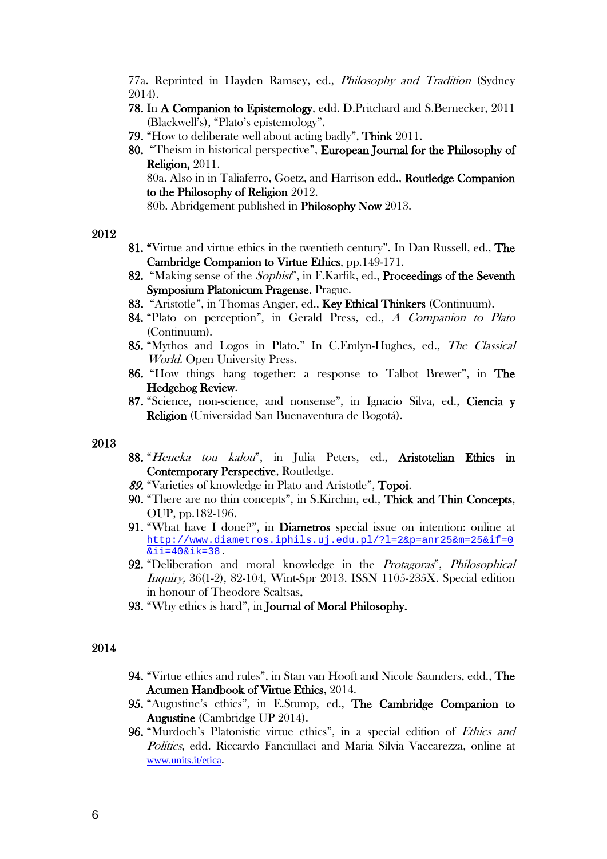77a. Reprinted in Hayden Ramsey, ed., Philosophy and Tradition (Sydney 2014).

- 78. In A Companion to Epistemology, edd. D.Pritchard and S.Bernecker, 2011 (Blackwell's), "Plato's epistemology".
- 79. "How to deliberate well about acting badly", Think 2011.
- 80. "Theism in historical perspective", European Journal for the Philosophy of Religion, 2011. 80a. Also in in Taliaferro, Goetz, and Harrison edd., Routledge Companion to the Philosophy of Religion 2012.

80b. Abridgement published in Philosophy Now 2013.

#### 2012

- 81. "Virtue and virtue ethics in the twentieth century". In Dan Russell, ed., The Cambridge Companion to Virtue Ethics, pp.149-171.
- 82. "Making sense of the *Sophist*", in F.Karfik, ed., **Proceedings of the Seventh** Symposium Platonicum Pragense. Prague.
- 83. "Aristotle", in Thomas Angier, ed., Key Ethical Thinkers (Continuum).
- 84. "Plato on perception", in Gerald Press, ed., A Companion to Plato (Continuum).
- 85. "Mythos and Logos in Plato." In C.Emlyn-Hughes, ed., The Classical World. Open University Press.
- 86. "How things hang together: a response to Talbot Brewer", in The Hedgehog Review.
- 87. "Science, non-science, and nonsense", in Ignacio Silva, ed., Ciencia y Religion (Universidad San Buenaventura de Bogotá).

#### 2013

- 88. "Heneka tou kalou", in Julia Peters, ed., Aristotelian Ethics in Contemporary Perspective, Routledge.
- 89. "Varieties of knowledge in Plato and Aristotle", Topoi.
- 90. "There are no thin concepts", in S.Kirchin, ed., Thick and Thin Concepts, OUP, pp.182-196.
- 91. "What have I done?", in Diametros special issue on intention: online at [http://www.diametros.iphils.uj.edu.pl/?l=2&p=anr25&m=25&if=0](https://legacy.open.ac.uk/owa/redir.aspx?C=JALu8RGhLEi7iqCR4YCFlk3KI03WztBIEhD1TtlT-hiyR-zBwwC6nRsMYOABeJYH9uRVSc02mJc.&URL=http%3a%2f%2fwww.diametros.iphils.uj.edu.pl%2f%3fl%3d2%26p%3danr25%26m%3d25%26if%3d0%26ii%3d40%26ik%3d38) [&ii=40&ik=38.](https://legacy.open.ac.uk/owa/redir.aspx?C=JALu8RGhLEi7iqCR4YCFlk3KI03WztBIEhD1TtlT-hiyR-zBwwC6nRsMYOABeJYH9uRVSc02mJc.&URL=http%3a%2f%2fwww.diametros.iphils.uj.edu.pl%2f%3fl%3d2%26p%3danr25%26m%3d25%26if%3d0%26ii%3d40%26ik%3d38)
- 92. "Deliberation and moral knowledge in the Protagoras", Philosophical Inquiry, 36(1-2), 82-104, Wint-Spr 2013. ISSN 1105-235X. Special edition in honour of Theodore Scaltsas.
- 93. "Why ethics is hard", in Journal of Moral Philosophy.

- 94. "Virtue ethics and rules", in Stan van Hooft and Nicole Saunders, edd., The Acumen Handbook of Virtue Ethics, 2014.
- 95. "Augustine's ethics", in E.Stump, ed., The Cambridge Companion to Augustine (Cambridge UP 2014).
- 96. "Murdoch's Platonistic virtue ethics", in a special edition of Ethics and Politics, edd. Riccardo Fanciullaci and Maria Silvia Vaccarezza, online at [www.units.it/etica](http://www.units.it/etica).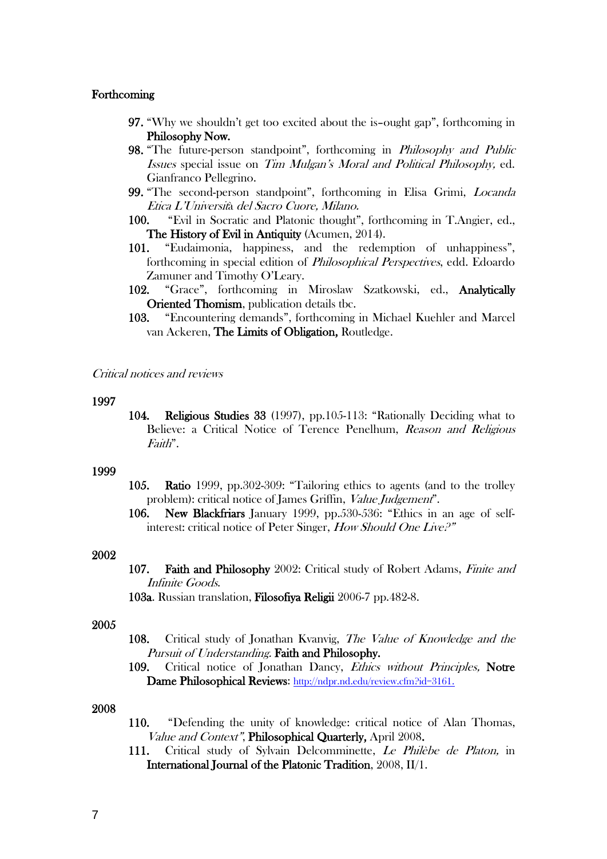### Forthcoming

- 97. "Why we shouldn't get too excited about the is–ought gap", forthcoming in Philosophy Now.
- 98. "The future-person standpoint", forthcoming in *Philosophy and Public* Issues special issue on Tim Mulgan's Moral and Political Philosophy, ed. Gianfranco Pellegrino.
- 99. "The second-person standpoint", forthcoming in Elisa Grimi, Locanda Etica L'Università del Sacro Cuore, Milano.
- 100. "Evil in Socratic and Platonic thought", forthcoming in T.Angier, ed., The History of Evil in Antiquity (Acumen, 2014).
- 101. "Eudaimonia, happiness, and the redemption of unhappiness", forthcoming in special edition of Philosophical Perspectives, edd. Edoardo Zamuner and Timothy O'Leary.
- 102. "Grace", forthcoming in Miroslaw Szatkowski, ed., Analytically Oriented Thomism, publication details tbc.
- 103. "Encountering demands", forthcoming in Michael Kuehler and Marcel van Ackeren, The Limits of Obligation, Routledge.

#### Critical notices and reviews

#### 1997

104. Religious Studies 33 (1997), pp.105-113: "Rationally Deciding what to Believe: a Critical Notice of Terence Penelhum, Reason and Religious Faith".

#### 1999

- 105. Ratio 1999, pp.302-309: "Tailoring ethics to agents (and to the trolley problem): critical notice of James Griffin, Value Judgement".
- 106. New Blackfriars January 1999, pp.530-536: "Ethics in an age of selfinterest: critical notice of Peter Singer, How Should One Live?"

### 2002

107. Faith and Philosophy 2002: Critical study of Robert Adams, Finite and Infinite Goods.

103a. Russian translation, Filosofiya Religii 2006-7 pp.482-8.

#### 2005

- 108. Critical study of Jonathan Kvanvig, The Value of Knowledge and the Pursuit of Understanding. Faith and Philosophy.
- 109. Critical notice of Jonathan Dancy, *Ethics without Principles*, Notre Dame Philosophical Reviews: [http://ndpr.nd.edu/review.cfm?id=3161.](http://ndpr.nd.edu/review.cfm?id=3161)

- 110. "Defending the unity of knowledge: critical notice of Alan Thomas, Value and Context", Philosophical Quarterly, April 2008.
- 111. Critical study of Sylvain Delcomminette, Le Philèbe de Platon, in International Journal of the Platonic Tradition, 2008, II/1.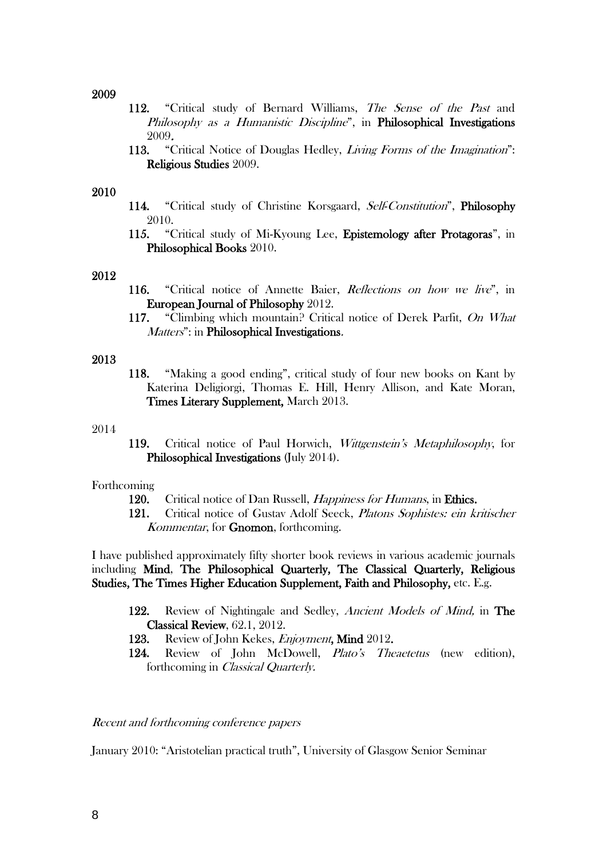### 2009

- 112. "Critical study of Bernard Williams, The Sense of the Past and Philosophy as a Humanistic Discipline", in Philosophical Investigations 2009.
- 113. "Critical Notice of Douglas Hedley, *Living Forms of the Imagination*": Religious Studies 2009.

## 2010

- 114. "Critical study of Christine Korsgaard, Self-Constitution", Philosophy 2010.
- 115. "Critical study of Mi-Kyoung Lee, Epistemology after Protagoras", in Philosophical Books 2010.

### 2012

- 116. "Critical notice of Annette Baier, Reflections on how we live", in European Journal of Philosophy 2012.
- 117. "Climbing which mountain? Critical notice of Derek Parfit, On What Matters": in Philosophical Investigations.

### 2013

118. "Making a good ending", critical study of four new books on Kant by Katerina Deligiorgi, Thomas E. Hill, Henry Allison, and Kate Moran, Times Literary Supplement, March 2013.

#### 2014

119. Critical notice of Paul Horwich, Wittgenstein's Metaphilosophy, for Philosophical Investigations (July 2014).

### Forthcoming

- 120. Critical notice of Dan Russell, *Happiness for Humans*, in Ethics.
- 121. Critical notice of Gustav Adolf Seeck, Platons Sophistes: ein kritischer Kommentar, for Gnomon, forthcoming.

I have published approximately fifty shorter book reviews in various academic journals including Mind, The Philosophical Quarterly, The Classical Quarterly, Religious Studies, The Times Higher Education Supplement, Faith and Philosophy, etc. E.g.

- 122. Review of Nightingale and Sedley, Ancient Models of Mind, in The Classical Review, 62.1, 2012.
- 123. Review of John Kekes, Enjoyment, Mind 2012.
- 124. Review of John McDowell, Plato's Theaetetus (new edition), forthcoming in Classical Quarterly.

### Recent and forthcoming conference papers

January 2010: "Aristotelian practical truth", University of Glasgow Senior Seminar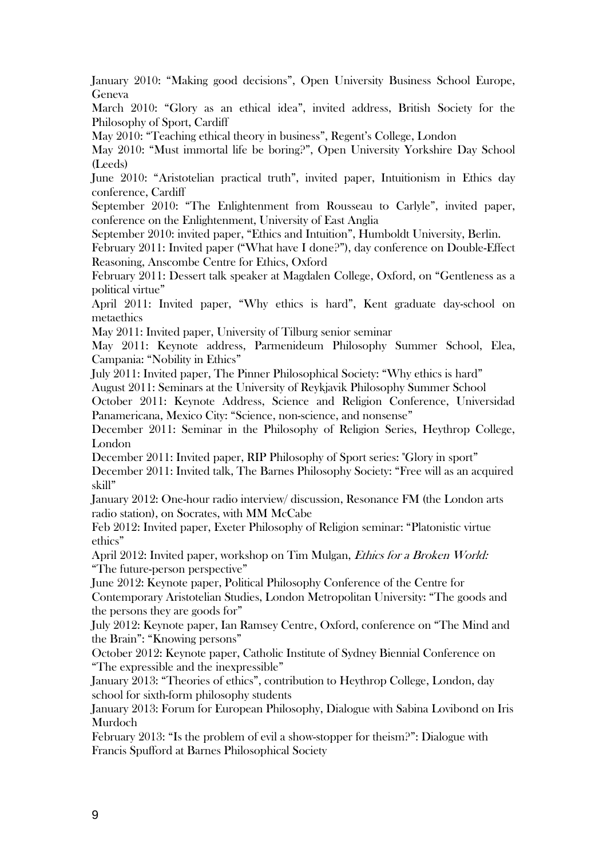January 2010: "Making good decisions", Open University Business School Europe, Geneva

March 2010: "Glory as an ethical idea", invited address, British Society for the Philosophy of Sport, Cardiff

May 2010: "Teaching ethical theory in business", Regent's College, London

May 2010: "Must immortal life be boring?", Open University Yorkshire Day School (Leeds)

June 2010: "Aristotelian practical truth", invited paper, Intuitionism in Ethics day conference, Cardiff

September 2010: "The Enlightenment from Rousseau to Carlyle", invited paper, conference on the Enlightenment, University of East Anglia

September 2010: invited paper, "Ethics and Intuition", Humboldt University, Berlin.

February 2011: Invited paper ("What have I done?"), day conference on Double-Effect Reasoning, Anscombe Centre for Ethics, Oxford

February 2011: Dessert talk speaker at Magdalen College, Oxford, on "Gentleness as a political virtue"

April 2011: Invited paper, "Why ethics is hard", Kent graduate day-school on metaethics

May 2011: Invited paper, University of Tilburg senior seminar

May 2011: Keynote address, Parmenideum Philosophy Summer School, Elea, Campania: "Nobility in Ethics"

July 2011: Invited paper, The Pinner Philosophical Society: "Why ethics is hard" August 2011: Seminars at the University of Reykjavik Philosophy Summer School

October 2011: Keynote Address, Science and Religion Conference, Universidad Panamericana, Mexico City: "Science, non-science, and nonsense"

December 2011: Seminar in the Philosophy of Religion Series, Heythrop College, London

December 2011: Invited paper, RIP Philosophy of Sport series: "Glory in sport" December 2011: Invited talk, The Barnes Philosophy Society: "Free will as an acquired skill"

January 2012: One-hour radio interview/ discussion, Resonance FM (the London arts radio station), on Socrates, with MM McCabe

Feb 2012: Invited paper, Exeter Philosophy of Religion seminar: "Platonistic virtue ethics"

April 2012: Invited paper, workshop on Tim Mulgan, Ethics for a Broken World: "The future-person perspective"

June 2012: Keynote paper, Political Philosophy Conference of the Centre for Contemporary Aristotelian Studies, London Metropolitan University: "The goods and the persons they are goods for"

July 2012: Keynote paper, Ian Ramsey Centre, Oxford, conference on "The Mind and the Brain": "Knowing persons"

October 2012: Keynote paper, Catholic Institute of Sydney Biennial Conference on "The expressible and the inexpressible"

January 2013: "Theories of ethics", contribution to Heythrop College, London, day school for sixth-form philosophy students

January 2013: Forum for European Philosophy, Dialogue with Sabina Lovibond on Iris Murdoch

February 2013: "Is the problem of evil a show-stopper for theism?": Dialogue with Francis Spufford at Barnes Philosophical Society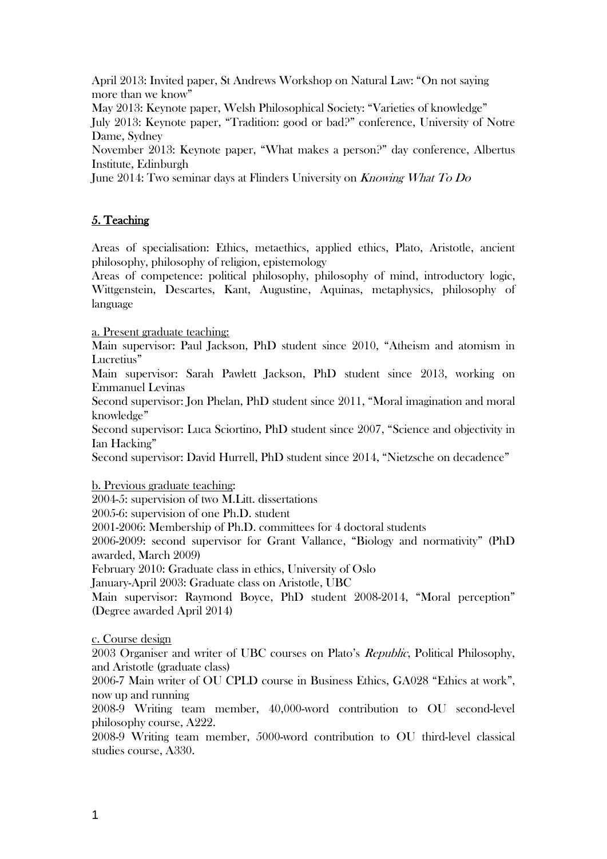April 2013: Invited paper, St Andrews Workshop on Natural Law: "On not saying more than we know"

May 2013: Keynote paper, Welsh Philosophical Society: "Varieties of knowledge"

July 2013: Keynote paper, "Tradition: good or bad?" conference, University of Notre Dame, Sydney

November 2013: Keynote paper, "What makes a person?" day conference, Albertus Institute, Edinburgh

June 2014: Two seminar days at Flinders University on Knowing What To Do

# 5. Teaching

Areas of specialisation: Ethics, metaethics, applied ethics, Plato, Aristotle, ancient philosophy, philosophy of religion, epistemology

Areas of competence: political philosophy, philosophy of mind, introductory logic, Wittgenstein, Descartes, Kant, Augustine, Aquinas, metaphysics, philosophy of language

a. Present graduate teaching:

Main supervisor: Paul Jackson, PhD student since 2010, "Atheism and atomism in Lucretius"

Main supervisor: Sarah Pawlett Jackson, PhD student since 2013, working on Emmanuel Levinas

Second supervisor: Jon Phelan, PhD student since 2011, "Moral imagination and moral knowledge"

Second supervisor: Luca Sciortino, PhD student since 2007, "Science and objectivity in Ian Hacking"

Second supervisor: David Hurrell, PhD student since 2014, "Nietzsche on decadence"

b. Previous graduate teaching:

2004-5: supervision of two M.Litt. dissertations

2005-6: supervision of one Ph.D. student

2001-2006: Membership of Ph.D. committees for 4 doctoral students

2006-2009: second supervisor for Grant Vallance, "Biology and normativity" (PhD awarded, March 2009)

February 2010: Graduate class in ethics, University of Oslo

January-April 2003: Graduate class on Aristotle, UBC

Main supervisor: Raymond Boyce, PhD student 2008-2014, "Moral perception" (Degree awarded April 2014)

c. Course design

2003 Organiser and writer of UBC courses on Plato's Republic, Political Philosophy, and Aristotle (graduate class)

2006-7 Main writer of OU CPLD course in Business Ethics, GA028 "Ethics at work", now up and running

2008-9 Writing team member, 40,000-word contribution to OU second-level philosophy course, A222.

2008-9 Writing team member, 5000-word contribution to OU third-level classical studies course, A330.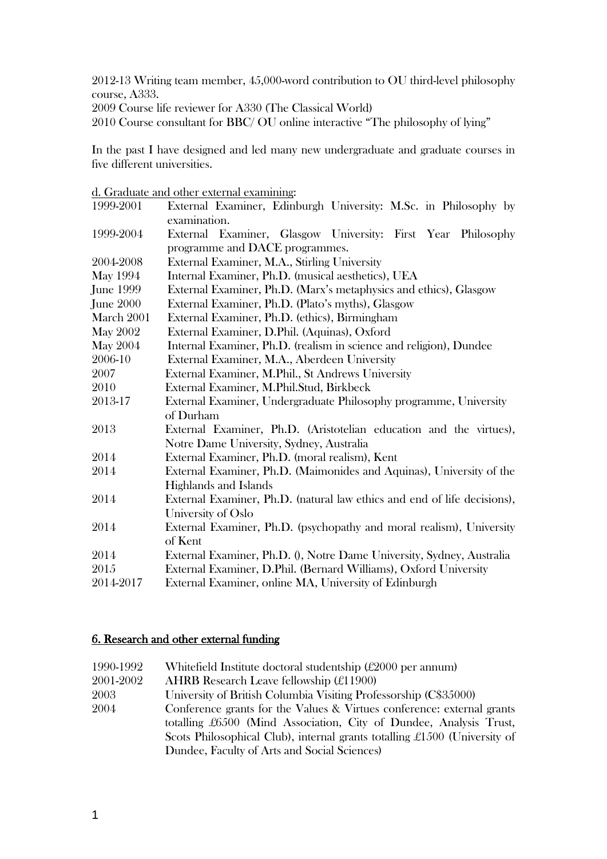2012-13 Writing team member, 45,000-word contribution to OU third-level philosophy course, A333.

2009 Course life reviewer for A330 (The Classical World)

2010 Course consultant for BBC/ OU online interactive "The philosophy of lying"

In the past I have designed and led many new undergraduate and graduate courses in five different universities.

d. Graduate and other external examining:

| 1999-2001        | External Examiner, Edinburgh University: M.Sc. in Philosophy by          |  |
|------------------|--------------------------------------------------------------------------|--|
|                  | examination.                                                             |  |
| 1999-2004        | External Examiner, Glasgow University: First Year Philosophy             |  |
|                  | programme and DACE programmes.                                           |  |
| 2004-2008        | External Examiner, M.A., Stirling University                             |  |
| <b>May 1994</b>  | Internal Examiner, Ph.D. (musical aesthetics), UEA                       |  |
| <b>June 1999</b> | External Examiner, Ph.D. (Marx's metaphysics and ethics), Glasgow        |  |
| June 2000        | External Examiner, Ph.D. (Plato's myths), Glasgow                        |  |
| March 2001       | External Examiner, Ph.D. (ethics), Birmingham                            |  |
| <b>May 2002</b>  | External Examiner, D.Phil. (Aquinas), Oxford                             |  |
| <b>May 2004</b>  | Internal Examiner, Ph.D. (realism in science and religion), Dundee       |  |
| 2006-10          | External Examiner, M.A., Aberdeen University                             |  |
| 2007             | External Examiner, M.Phil., St Andrews University                        |  |
| 2010             | External Examiner, M.Phil.Stud, Birkbeck                                 |  |
| 2013-17          | External Examiner, Undergraduate Philosophy programme, University        |  |
|                  | of Durham                                                                |  |
| 2013             | External Examiner, Ph.D. (Aristotelian education and the virtues),       |  |
|                  | Notre Dame University, Sydney, Australia                                 |  |
| 2014             | External Examiner, Ph.D. (moral realism), Kent                           |  |
| 2014             | External Examiner, Ph.D. (Maimonides and Aquinas), University of the     |  |
|                  | Highlands and Islands                                                    |  |
| 2014             | External Examiner, Ph.D. (natural law ethics and end of life decisions), |  |
|                  | University of Oslo                                                       |  |
| 2014             | External Examiner, Ph.D. (psychopathy and moral realism), University     |  |
|                  | of Kent                                                                  |  |
| 2014             | External Examiner, Ph.D. (), Notre Dame University, Sydney, Australia    |  |
| 2015             | External Examiner, D.Phil. (Bernard Williams), Oxford University         |  |
| 2014-2017        | External Examiner, online MA, University of Edinburgh                    |  |

# 6. Research and other external funding

| 1990-1992 | White field Institute doctoral studentship (£2000 per annum)              |  |
|-----------|---------------------------------------------------------------------------|--|
| 2001-2002 | AHRB Research Leave fellowship $(\pounds11900)$                           |  |
| 2003      | University of British Columbia Visiting Professorship (C\$35000)          |  |
| 2004      | Conference grants for the Values & Virtues conference: external grants    |  |
|           | totalling £6500 (Mind Association, City of Dundee, Analysis Trust,        |  |
|           | Scots Philosophical Club), internal grants totalling £1500 (University of |  |
|           | Dundee, Faculty of Arts and Social Sciences)                              |  |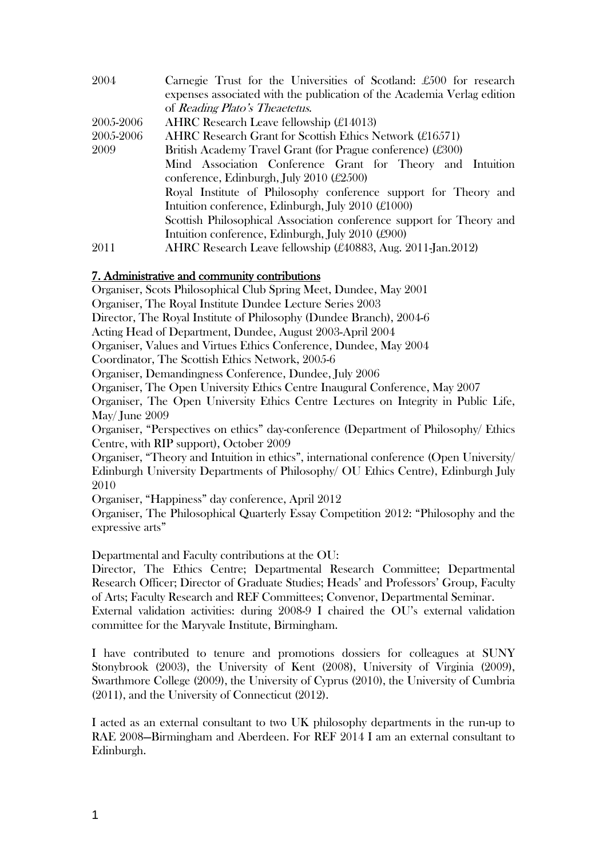| 2004      | Carnegie Trust for the Universities of Scotland: £500 for research                                                                                                                                                                                         |  |
|-----------|------------------------------------------------------------------------------------------------------------------------------------------------------------------------------------------------------------------------------------------------------------|--|
|           | expenses associated with the publication of the Academia Verlag edition                                                                                                                                                                                    |  |
|           | of Reading Plato's Theaetetus.                                                                                                                                                                                                                             |  |
| 2005-2006 | AHRC Research Leave fellowship $(E14013)$                                                                                                                                                                                                                  |  |
| 2005-2006 | AHRC Research Grant for Scottish Ethics Network $(\pounds16571)$                                                                                                                                                                                           |  |
| 2009      | British Academy Travel Grant (for Prague conference) (£300)                                                                                                                                                                                                |  |
|           | Mind Association Conference Grant for Theory and Intuition                                                                                                                                                                                                 |  |
|           | conference, Edinburgh, July 2010 $(\pounds 2500)$<br>Royal Institute of Philosophy conference support for Theory and<br>Intuition conference, Edinburgh, July 2010 $(\pounds1000)$<br>Scottish Philosophical Association conference support for Theory and |  |
|           |                                                                                                                                                                                                                                                            |  |
|           |                                                                                                                                                                                                                                                            |  |
|           |                                                                                                                                                                                                                                                            |  |
|           | Intuition conference, Edinburgh, July 2010 $(\text{\pounds}900)$                                                                                                                                                                                           |  |
| 2011      | AHRC Research Leave fellowship (£40883, Aug. 2011-Jan.2012)                                                                                                                                                                                                |  |

# 7. Administrative and community contributions

Organiser, Scots Philosophical Club Spring Meet, Dundee, May 2001

Organiser, The Royal Institute Dundee Lecture Series 2003

Director, The Royal Institute of Philosophy (Dundee Branch), 2004-6

Acting Head of Department, Dundee, August 2003-April 2004

Organiser, Values and Virtues Ethics Conference, Dundee, May 2004

Coordinator, The Scottish Ethics Network, 2005-6

Organiser, Demandingness Conference, Dundee, July 2006

Organiser, The Open University Ethics Centre Inaugural Conference, May 2007

Organiser, The Open University Ethics Centre Lectures on Integrity in Public Life, May/ June 2009

Organiser, "Perspectives on ethics" day-conference (Department of Philosophy/ Ethics Centre, with RIP support), October 2009

Organiser, "Theory and Intuition in ethics", international conference (Open University/ Edinburgh University Departments of Philosophy/ OU Ethics Centre), Edinburgh July 2010

Organiser, "Happiness" day conference, April 2012

Organiser, The Philosophical Quarterly Essay Competition 2012: "Philosophy and the expressive arts"

Departmental and Faculty contributions at the OU:

Director, The Ethics Centre; Departmental Research Committee; Departmental Research Officer; Director of Graduate Studies; Heads' and Professors' Group, Faculty of Arts; Faculty Research and REF Committees; Convenor, Departmental Seminar. External validation activities: during 2008-9 I chaired the OU's external validation committee for the Maryvale Institute, Birmingham.

I have contributed to tenure and promotions dossiers for colleagues at SUNY Stonybrook (2003), the University of Kent (2008), University of Virginia (2009), Swarthmore College (2009), the University of Cyprus (2010), the University of Cumbria (2011), and the University of Connecticut (2012).

I acted as an external consultant to two UK philosophy departments in the run-up to RAE 2008—Birmingham and Aberdeen. For REF 2014 I am an external consultant to Edinburgh.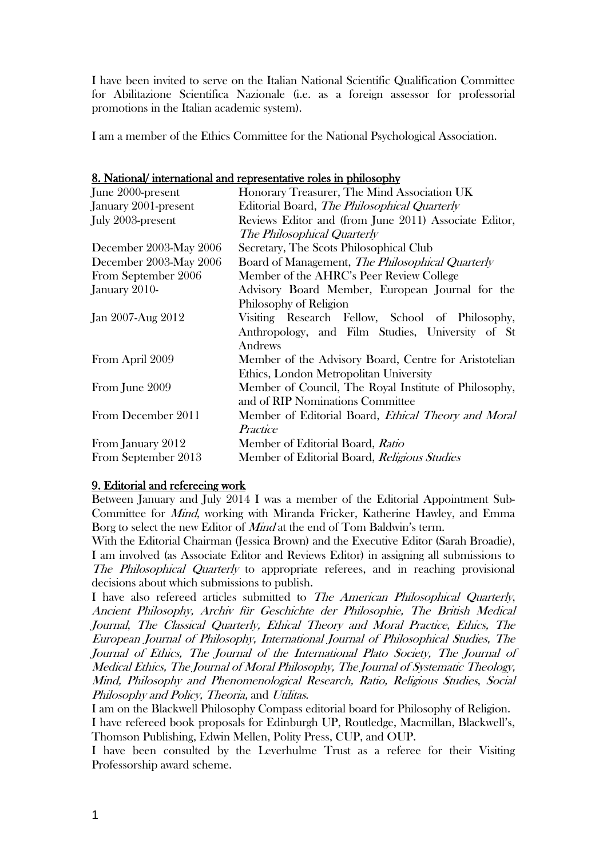I have been invited to serve on the Italian National Scientific Qualification Committee for Abilitazione Scientifica Nazionale (i.e. as a foreign assessor for professorial promotions in the Italian academic system).

I am a member of the Ethics Committee for the National Psychological Association.

| 8. National/international and representative roles in philosophy |
|------------------------------------------------------------------|
|------------------------------------------------------------------|

| June 2000-present      | Honorary Treasurer, The Mind Association UK                |
|------------------------|------------------------------------------------------------|
| January 2001-present   | Editorial Board, The Philosophical Quarterly               |
| July 2003-present      | Reviews Editor and (from June 2011) Associate Editor,      |
|                        | The Philosophical Quarterly                                |
| December 2003-May 2006 | Secretary, The Scots Philosophical Club                    |
| December 2003-May 2006 | Board of Management, <i>The Philosophical Quarterly</i>    |
| From September 2006    | Member of the AHRC's Peer Review College                   |
| January 2010-          | Advisory Board Member, European Journal for the            |
|                        | Philosophy of Religion                                     |
| Jan 2007-Aug 2012      | Visiting Research Fellow, School of Philosophy,            |
|                        | Anthropology, and Film Studies, University of St           |
|                        | Andrews                                                    |
| From April 2009        | Member of the Advisory Board, Centre for Aristotelian      |
|                        | Ethics, London Metropolitan University                     |
| From June 2009         | Member of Council, The Royal Institute of Philosophy,      |
|                        | and of RIP Nominations Committee                           |
| From December 2011     | Member of Editorial Board, <i>Ethical Theory and Moral</i> |
|                        | Practice                                                   |
| From January 2012      | Member of Editorial Board, Ratio                           |
| From September 2013    | Member of Editorial Board, Religious Studies               |

# 9. Editorial and refereeing work

Between January and July 2014 I was a member of the Editorial Appointment Sub-Committee for Mind, working with Miranda Fricker, Katherine Hawley, and Emma Borg to select the new Editor of *Mind* at the end of Tom Baldwin's term.

With the Editorial Chairman (Jessica Brown) and the Executive Editor (Sarah Broadie), I am involved (as Associate Editor and Reviews Editor) in assigning all submissions to The Philosophical Quarterly to appropriate referees, and in reaching provisional decisions about which submissions to publish.

I have also refereed articles submitted to The American Philosophical Quarterly, Ancient Philosophy, Archiv für Geschichte der Philosophie, The British Medical Journal, The Classical Quarterly, Ethical Theory and Moral Practice, Ethics, The European Journal of Philosophy, International Journal of Philosophical Studies, The Journal of Ethics, The Journal of the International Plato Society, The Journal of Medical Ethics, The Journal of Moral Philosophy, The Journal of Systematic Theology, Mind, Philosophy and Phenomenological Research, Ratio, Religious Studies, Social Philosophy and Policy, Theoria, and Utilitas.

I am on the Blackwell Philosophy Compass editorial board for Philosophy of Religion. I have refereed book proposals for Edinburgh UP, Routledge, Macmillan, Blackwell's, Thomson Publishing, Edwin Mellen, Polity Press, CUP, and OUP.

I have been consulted by the Leverhulme Trust as a referee for their Visiting Professorship award scheme.